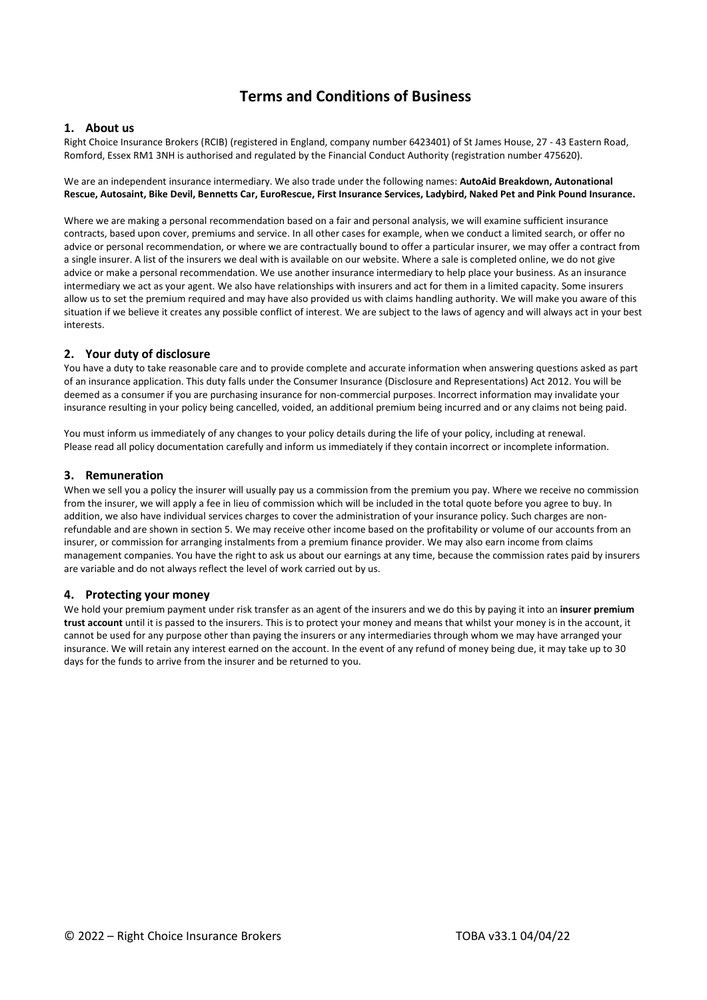# **Terms and Conditions of Business**

## **1. About us**

Right Choice Insurance Brokers (RCIB) (registered in England, company number 6423401) of St James House, 27 - 43 Eastern Road, Romford, Essex RM1 3NH is authorised and regulated by the Financial Conduct Authority (registration number 475620).

#### We are an independent insurance intermediary. We also trade under the following names: **AutoAid Breakdown, Autonational Rescue, Autosaint, Bike Devil, Bennetts Car, EuroRescue, First Insurance Services, Ladybird, Naked Pet and Pink Pound Insurance.**

Where we are making a personal recommendation based on a fair and personal analysis, we will examine sufficient insurance contracts, based upon cover, premiums and service. In all other cases for example, when we conduct a limited search, or offer no advice or personal recommendation, or where we are contractually bound to offer a particular insurer, we may offer a contract from a single insurer. A list of the insurers we deal with is available on our website. Where a sale is completed online, we do not give advice or make a personal recommendation. We use another insurance intermediary to help place your business. As an insurance intermediary we act as your agent. We also have relationships with insurers and act for them in a limited capacity. Some insurers allow us to set the premium required and may have also provided us with claims handling authority. We will make you aware of this situation if we believe it creates any possible conflict of interest. We are subject to the laws of agency and will always act in your best interests.

## **2. Your duty of disclosure**

You have a duty to take reasonable care and to provide complete and accurate information when answering questions asked as part of an insurance application. This duty falls under the Consumer Insurance (Disclosure and Representations) Act 2012. You will be deemed as a consumer if you are purchasing insurance for non-commercial purposes. Incorrect information may invalidate your insurance resulting in your policy being cancelled, voided, an additional premium being incurred and or any claims not being paid.

You must inform us immediately of any changes to your policy details during the life of your policy, including at renewal. Please read all policy documentation carefully and inform us immediately if they contain incorrect or incomplete information.

## **3. Remuneration**

When we sell you a policy the insurer will usually pay us a commission from the premium you pay. Where we receive no commission from the insurer, we will apply a fee in lieu of commission which will be included in the total quote before you agree to buy. In addition, we also have individual services charges to cover the administration of your insurance policy. Such charges are nonrefundable and are shown in section 5. We may receive other income based on the profitability or volume of our accounts from an insurer, or commission for arranging instalments from a premium finance provider. We may also earn income from claims management companies. You have the right to ask us about our earnings at any time, because the commission rates paid by insurers are variable and do not always reflect the level of work carried out by us.

## **4. Protecting your money**

We hold your premium payment under risk transfer as an agent of the insurers and we do this by paying it into an **insurer premium trust account** until it is passed to the insurers. This is to protect your money and means that whilst your money is in the account, it cannot be used for any purpose other than paying the insurers or any intermediaries through whom we may have arranged your insurance. We will retain any interest earned on the account. In the event of any refund of money being due, it may take up to 30 days for the funds to arrive from the insurer and be returned to you.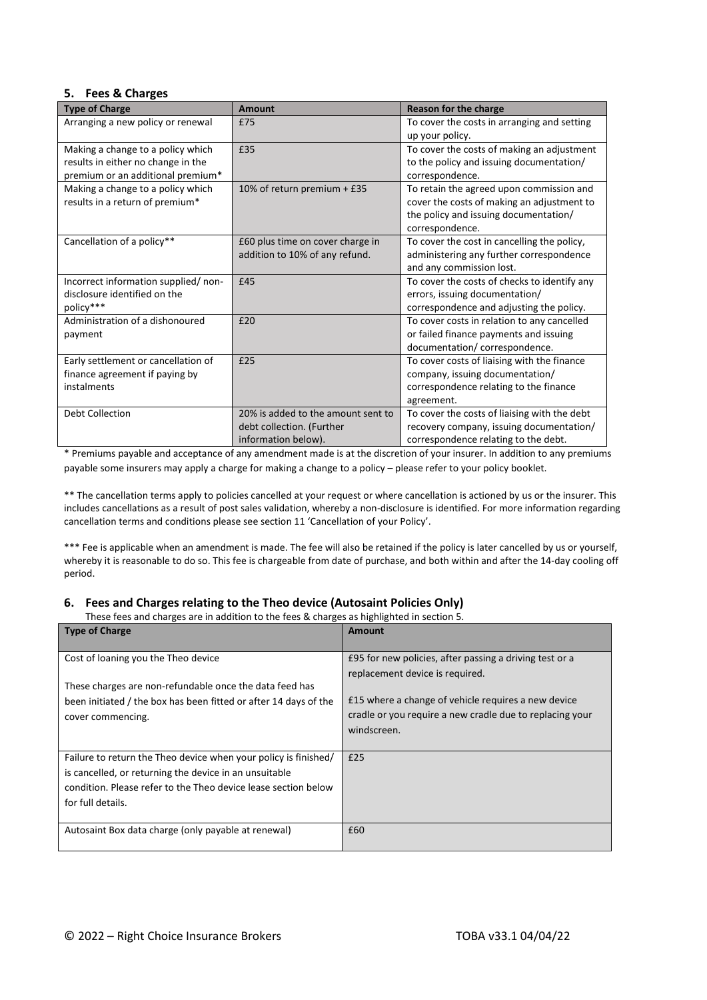# **5. Fees & Charges**

| <b>Type of Charge</b>                                                                                        | <b>Amount</b>                                                                          | Reason for the charge                                                                                                                              |  |  |  |
|--------------------------------------------------------------------------------------------------------------|----------------------------------------------------------------------------------------|----------------------------------------------------------------------------------------------------------------------------------------------------|--|--|--|
| Arranging a new policy or renewal                                                                            | £75                                                                                    | To cover the costs in arranging and setting<br>up your policy.                                                                                     |  |  |  |
| Making a change to a policy which<br>results in either no change in the<br>premium or an additional premium* | £35                                                                                    | To cover the costs of making an adjustment<br>to the policy and issuing documentation/<br>correspondence.                                          |  |  |  |
| Making a change to a policy which<br>results in a return of premium*                                         | 10% of return premium + £35                                                            | To retain the agreed upon commission and<br>cover the costs of making an adjustment to<br>the policy and issuing documentation/<br>correspondence. |  |  |  |
| Cancellation of a policy**                                                                                   | £60 plus time on cover charge in<br>addition to 10% of any refund.                     | To cover the cost in cancelling the policy,<br>administering any further correspondence<br>and any commission lost.                                |  |  |  |
| Incorrect information supplied/ non-<br>disclosure identified on the<br>policy***                            | £45                                                                                    | To cover the costs of checks to identify any<br>errors, issuing documentation/<br>correspondence and adjusting the policy.                         |  |  |  |
| Administration of a dishonoured<br>payment                                                                   | £20                                                                                    | To cover costs in relation to any cancelled<br>or failed finance payments and issuing<br>documentation/ correspondence.                            |  |  |  |
| Early settlement or cancellation of<br>finance agreement if paying by<br>instalments                         | £25                                                                                    | To cover costs of liaising with the finance<br>company, issuing documentation/<br>correspondence relating to the finance<br>agreement.             |  |  |  |
| Debt Collection                                                                                              | 20% is added to the amount sent to<br>debt collection. (Further<br>information below). | To cover the costs of liaising with the debt<br>recovery company, issuing documentation/<br>correspondence relating to the debt.                   |  |  |  |

\* Premiums payable and acceptance of any amendment made is at the discretion of your insurer. In addition to any premiums payable some insurers may apply a charge for making a change to a policy – please refer to your policy booklet.

\*\* The cancellation terms apply to policies cancelled at your request or where cancellation is actioned by us or the insurer. This includes cancellations as a result of post sales validation, whereby a non-disclosure is identified. For more information regarding cancellation terms and conditions please see section 11 'Cancellation of your Policy'.

\*\*\* Fee is applicable when an amendment is made. The fee will also be retained if the policy is later cancelled by us or yourself, whereby it is reasonable to do so. This fee is chargeable from date of purchase, and both within and after the 14-day cooling off period.

# **6. Fees and Charges relating to the Theo device (Autosaint Policies Only)**

These fees and charges are in addition to the fees & charges as highlighted in section 5.

| These rees and charges are in addition to the rees of charges as ingilighted in section st |                                                          |  |  |  |  |  |  |
|--------------------------------------------------------------------------------------------|----------------------------------------------------------|--|--|--|--|--|--|
| <b>Type of Charge</b>                                                                      | <b>Amount</b>                                            |  |  |  |  |  |  |
|                                                                                            |                                                          |  |  |  |  |  |  |
| Cost of loaning you the Theo device                                                        | E95 for new policies, after passing a driving test or a  |  |  |  |  |  |  |
|                                                                                            | replacement device is required.                          |  |  |  |  |  |  |
| These charges are non-refundable once the data feed has                                    |                                                          |  |  |  |  |  |  |
| been initiated / the box has been fitted or after 14 days of the                           | £15 where a change of vehicle requires a new device      |  |  |  |  |  |  |
| cover commencing.                                                                          | cradle or you require a new cradle due to replacing your |  |  |  |  |  |  |
|                                                                                            | windscreen.                                              |  |  |  |  |  |  |
|                                                                                            |                                                          |  |  |  |  |  |  |
| Failure to return the Theo device when your policy is finished/                            | £25                                                      |  |  |  |  |  |  |
| is cancelled, or returning the device in an unsuitable                                     |                                                          |  |  |  |  |  |  |
| condition. Please refer to the Theo device lease section below                             |                                                          |  |  |  |  |  |  |
| for full details.                                                                          |                                                          |  |  |  |  |  |  |
|                                                                                            |                                                          |  |  |  |  |  |  |
| Autosaint Box data charge (only payable at renewal)                                        | £60                                                      |  |  |  |  |  |  |
|                                                                                            |                                                          |  |  |  |  |  |  |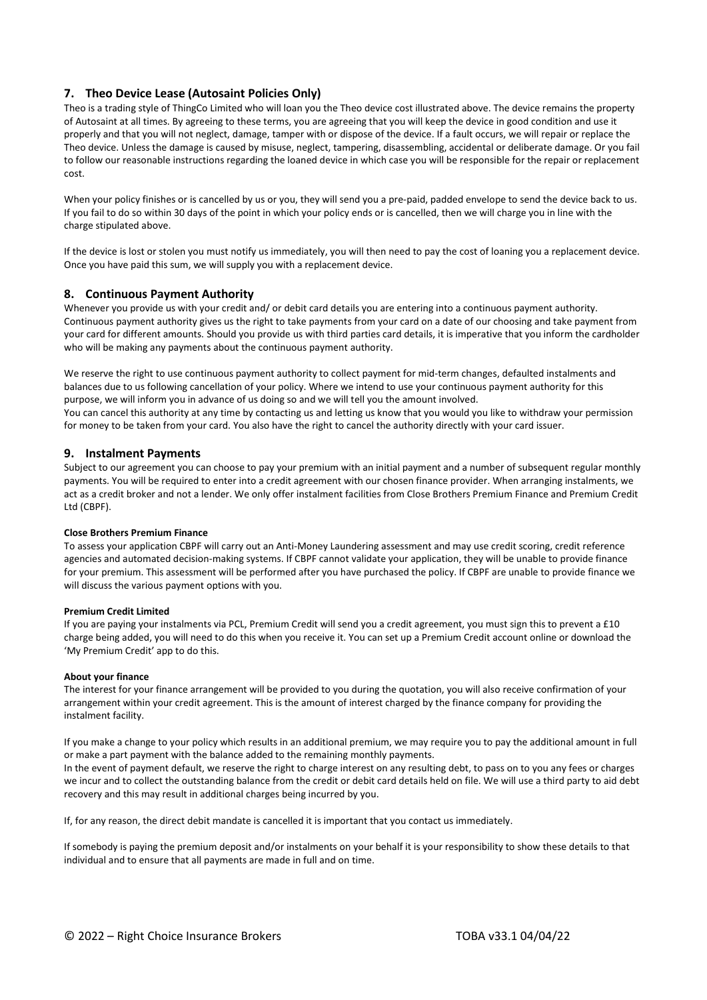# **7. Theo Device Lease (Autosaint Policies Only)**

Theo is a trading style of ThingCo Limited who will loan you the Theo device cost illustrated above. The device remains the property of Autosaint at all times. By agreeing to these terms, you are agreeing that you will keep the device in good condition and use it properly and that you will not neglect, damage, tamper with or dispose of the device. If a fault occurs, we will repair or replace the Theo device. Unless the damage is caused by misuse, neglect, tampering, disassembling, accidental or deliberate damage. Or you fail to follow our reasonable instructions regarding the loaned device in which case you will be responsible for the repair or replacement cost.

When your policy finishes or is cancelled by us or you, they will send you a pre-paid, padded envelope to send the device back to us. If you fail to do so within 30 days of the point in which your policy ends or is cancelled, then we will charge you in line with the charge stipulated above.

If the device is lost or stolen you must notify us immediately, you will then need to pay the cost of loaning you a replacement device. Once you have paid this sum, we will supply you with a replacement device.

## **8. Continuous Payment Authority**

Whenever you provide us with your credit and/ or debit card details you are entering into a continuous payment authority. Continuous payment authority gives us the right to take payments from your card on a date of our choosing and take payment from your card for different amounts. Should you provide us with third parties card details, it is imperative that you inform the cardholder who will be making any payments about the continuous payment authority.

We reserve the right to use continuous payment authority to collect payment for mid-term changes, defaulted instalments and balances due to us following cancellation of your policy. Where we intend to use your continuous payment authority for this purpose, we will inform you in advance of us doing so and we will tell you the amount involved. You can cancel this authority at any time by contacting us and letting us know that you would you like to withdraw your permission for money to be taken from your card. You also have the right to cancel the authority directly with your card issuer.

## **9. Instalment Payments**

Subject to our agreement you can choose to pay your premium with an initial payment and a number of subsequent regular monthly payments. You will be required to enter into a credit agreement with our chosen finance provider. When arranging instalments, we act as a credit broker and not a lender. We only offer instalment facilities from Close Brothers Premium Finance and Premium Credit Ltd (CBPF).

## **Close Brothers Premium Finance**

To assess your application CBPF will carry out an Anti-Money Laundering assessment and may use credit scoring, credit reference agencies and automated decision-making systems. If CBPF cannot validate your application, they will be unable to provide finance for your premium. This assessment will be performed after you have purchased the policy. If CBPF are unable to provide finance we will discuss the various payment options with you.

## **Premium Credit Limited**

If you are paying your instalments via PCL, Premium Credit will send you a credit agreement, you must sign this to prevent a £10 charge being added, you will need to do this when you receive it. You can set up a Premium Credit account online or download the 'My Premium Credit' app to do this.

## **About your finance**

The interest for your finance arrangement will be provided to you during the quotation, you will also receive confirmation of your arrangement within your credit agreement. This is the amount of interest charged by the finance company for providing the instalment facility.

If you make a change to your policy which results in an additional premium, we may require you to pay the additional amount in full or make a part payment with the balance added to the remaining monthly payments.

In the event of payment default, we reserve the right to charge interest on any resulting debt, to pass on to you any fees or charges we incur and to collect the outstanding balance from the credit or debit card details held on file. We will use a third party to aid debt recovery and this may result in additional charges being incurred by you.

If, for any reason, the direct debit mandate is cancelled it is important that you contact us immediately.

If somebody is paying the premium deposit and/or instalments on your behalf it is your responsibility to show these details to that individual and to ensure that all payments are made in full and on time.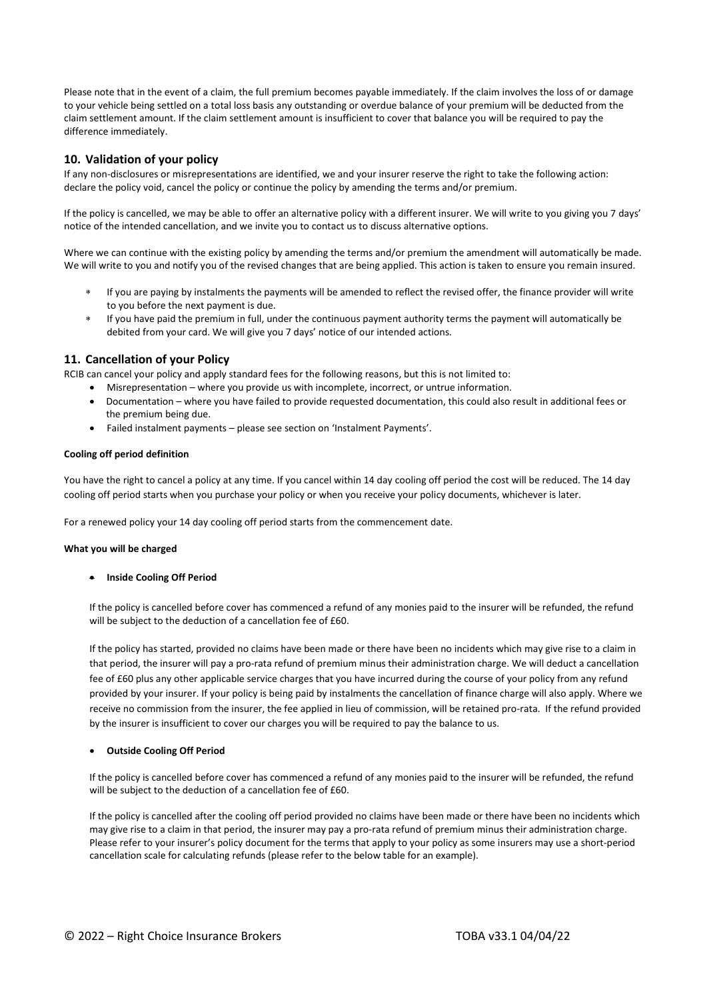Please note that in the event of a claim, the full premium becomes payable immediately. If the claim involves the loss of or damage to your vehicle being settled on a total loss basis any outstanding or overdue balance of your premium will be deducted from the claim settlement amount. If the claim settlement amount is insufficient to cover that balance you will be required to pay the difference immediately.

# **10. Validation of your policy**

If any non-disclosures or misrepresentations are identified, we and your insurer reserve the right to take the following action: declare the policy void, cancel the policy or continue the policy by amending the terms and/or premium.

If the policy is cancelled, we may be able to offer an alternative policy with a different insurer. We will write to you giving you 7 days' notice of the intended cancellation, and we invite you to contact us to discuss alternative options.

Where we can continue with the existing policy by amending the terms and/or premium the amendment will automatically be made. We will write to you and notify you of the revised changes that are being applied. This action is taken to ensure you remain insured.

- If you are paying by instalments the payments will be amended to reflect the revised offer, the finance provider will write to you before the next payment is due.
- If you have paid the premium in full, under the continuous payment authority terms the payment will automatically be debited from your card. We will give you 7 days' notice of our intended actions.

## **11. Cancellation of your Policy**

RCIB can cancel your policy and apply standard fees for the following reasons, but this is not limited to:

- Misrepresentation where you provide us with incomplete, incorrect, or untrue information.
- Documentation where you have failed to provide requested documentation, this could also result in additional fees or the premium being due.
- Failed instalment payments please see section on 'Instalment Payments'.

## **Cooling off period definition**

You have the right to cancel a policy at any time. If you cancel within 14 day cooling off period the cost will be reduced. The 14 day cooling off period starts when you purchase your policy or when you receive your policy documents, whichever is later.

For a renewed policy your 14 day cooling off period starts from the commencement date.

## **What you will be charged**

## • **Inside Cooling Off Period**

If the policy is cancelled before cover has commenced a refund of any monies paid to the insurer will be refunded, the refund will be subject to the deduction of a cancellation fee of £60.

If the policy has started, provided no claims have been made or there have been no incidents which may give rise to a claim in that period, the insurer will pay a pro-rata refund of premium minus their administration charge. We will deduct a cancellation fee of £60 plus any other applicable service charges that you have incurred during the course of your policy from any refund provided by your insurer. If your policy is being paid by instalments the cancellation of finance charge will also apply. Where we receive no commission from the insurer, the fee applied in lieu of commission, will be retained pro-rata. If the refund provided by the insurer is insufficient to cover our charges you will be required to pay the balance to us.

#### • **Outside Cooling Off Period**

If the policy is cancelled before cover has commenced a refund of any monies paid to the insurer will be refunded, the refund will be subject to the deduction of a cancellation fee of £60.

If the policy is cancelled after the cooling off period provided no claims have been made or there have been no incidents which may give rise to a claim in that period, the insurer may pay a pro-rata refund of premium minus their administration charge. Please refer to your insurer's policy document for the terms that apply to your policy as some insurers may use a short-period cancellation scale for calculating refunds (please refer to the below table for an example).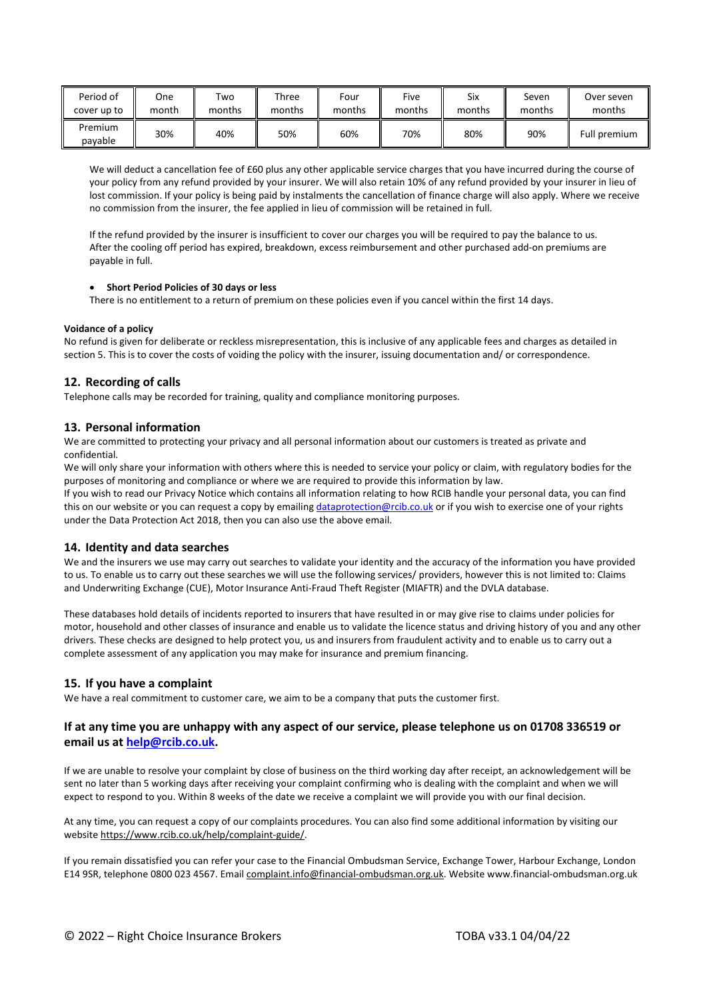| Period of          | One   | Two    | Three  | Four   | Five   | Six    | Seven  | Over seven   |
|--------------------|-------|--------|--------|--------|--------|--------|--------|--------------|
| cover up to        | month | months | months | months | months | months | months | months       |
| Premium<br>pavable | 30%   | 40%    | 50%    | 60%    | 70%    | 80%    | 90%    | Full premium |

We will deduct a cancellation fee of £60 plus any other applicable service charges that you have incurred during the course of your policy from any refund provided by your insurer. We will also retain 10% of any refund provided by your insurer in lieu of lost commission. If your policy is being paid by instalments the cancellation of finance charge will also apply. Where we receive no commission from the insurer, the fee applied in lieu of commission will be retained in full.

If the refund provided by the insurer is insufficient to cover our charges you will be required to pay the balance to us. After the cooling off period has expired, breakdown, excess reimbursement and other purchased add-on premiums are payable in full.

## • **Short Period Policies of 30 days or less**

There is no entitlement to a return of premium on these policies even if you cancel within the first 14 days.

## **Voidance of a policy**

No refund is given for deliberate or reckless misrepresentation, this is inclusive of any applicable fees and charges as detailed in section 5. This is to cover the costs of voiding the policy with the insurer, issuing documentation and/ or correspondence.

# **12. Recording of calls**

Telephone calls may be recorded for training, quality and compliance monitoring purposes.

# **13. Personal information**

We are committed to protecting your privacy and all personal information about our customers is treated as private and confidential.

We will only share your information with others where this is needed to service your policy or claim, with regulatory bodies for the purposes of monitoring and compliance or where we are required to provide this information by law.

If you wish to read our Privacy Notice which contains all information relating to how RCIB handle your personal data, you can find this on our website or you can request a copy by emailin[g dataprotection@rcib.co.uk](mailto:dataprotection@rcib.co.uk) or if you wish to exercise one of your rights under the Data Protection Act 2018, then you can also use the above email.

## **14. Identity and data searches**

We and the insurers we use may carry out searches to validate your identity and the accuracy of the information you have provided to us. To enable us to carry out these searches we will use the following services/ providers, however this is not limited to: Claims and Underwriting Exchange (CUE), Motor Insurance Anti-Fraud Theft Register (MIAFTR) and the DVLA database.

These databases hold details of incidents reported to insurers that have resulted in or may give rise to claims under policies for motor, household and other classes of insurance and enable us to validate the licence status and driving history of you and any other drivers. These checks are designed to help protect you, us and insurers from fraudulent activity and to enable us to carry out a complete assessment of any application you may make for insurance and premium financing.

## **15. If you have a complaint**

We have a real commitment to customer care, we aim to be a company that puts the customer first.

# **If at any time you are unhappy with any aspect of our service, please telephone us on 01708 336519 or email us at [help@rcib.co.uk.](mailto:help@rcib.co.uk)**

If we are unable to resolve your complaint by close of business on the third working day after receipt, an acknowledgement will be sent no later than 5 working days after receiving your complaint confirming who is dealing with the complaint and when we will expect to respond to you. Within 8 weeks of the date we receive a complaint we will provide you with our final decision.

At any time, you can request a copy of our complaints procedures. You can also find some additional information by visiting our website [https://www.rcib.co.uk/help/complaint-guide/.](https://www.rcib.co.uk/help/complaint-guide/) 

If you remain dissatisfied you can refer your case to the Financial Ombudsman Service, Exchange Tower, Harbour Exchange, London E14 9SR, telephone 0800 023 4567. Emai[l complaint.info@financial-ombudsman.org.uk.](mailto:complaint.info@financial-ombudsman.org.uk) Websit[e www.financial-ombudsman.org.uk](http://www.financial-ombudsman.org.uk/)